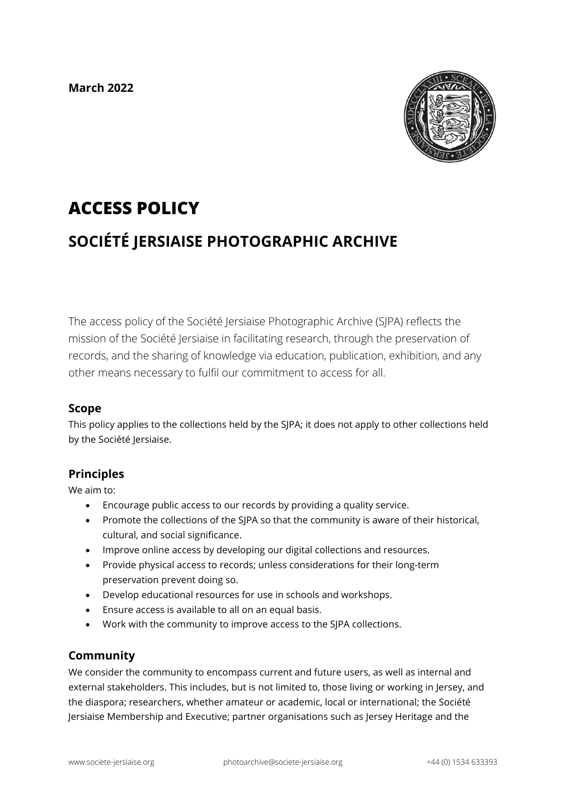**March 2022**



# **ACCESS POLICY**

# **SOCIÉTÉ JERSIAISE PHOTOGRAPHIC ARCHIVE**

The access policy of the Société Jersiaise Photographic Archive (SJPA) reflects the mission of the Société Jersiaise in facilitating research, through the preservation of records, and the sharing of knowledge via education, publication, exhibition, and any other means necessary to fulfil our commitment to access for all.

#### **Scope**

This policy applies to the collections held by the SJPA; it does not apply to other collections held by the Société Jersiaise.

# **Principles**

We aim to:

- Encourage public access to our records by providing a quality service.
- Promote the collections of the SJPA so that the community is aware of their historical, cultural, and social significance.
- Improve online access by developing our digital collections and resources.
- Provide physical access to records; unless considerations for their long-term preservation prevent doing so.
- Develop educational resources for use in schools and workshops.
- Ensure access is available to all on an equal basis.
- Work with the community to improve access to the SJPA collections.

#### **Community**

We consider the community to encompass current and future users, as well as internal and external stakeholders. This includes, but is not limited to, those living or working in Jersey, and the diaspora; researchers, whether amateur or academic, local or international; the Société Jersiaise Membership and Executive; partner organisations such as Jersey Heritage and the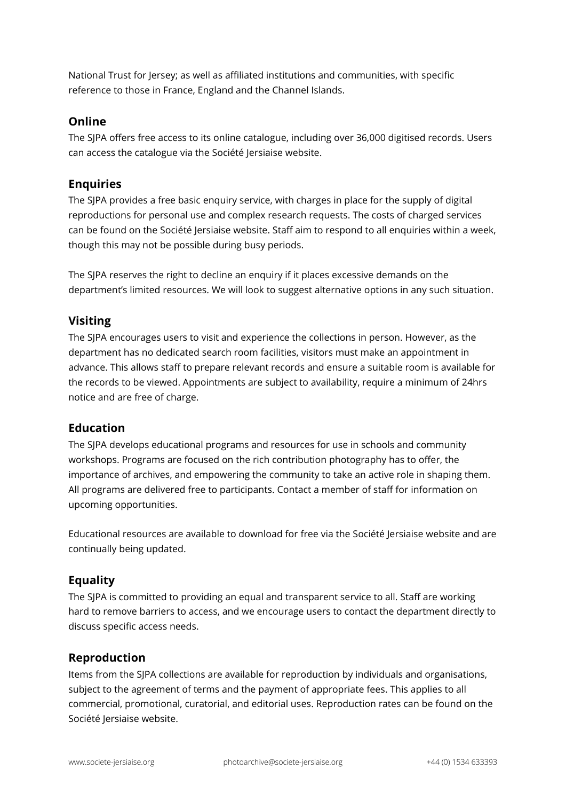National Trust for Jersey; as well as affiliated institutions and communities, with specific reference to those in France, England and the Channel Islands.

#### **Online**

The SJPA offers free access to its online catalogue, including over 36,000 digitised records. Users can access the catalogue via the Société Jersiaise website.

# **Enquiries**

The SJPA provides a free basic enquiry service, with charges in place for the supply of digital reproductions for personal use and complex research requests. The costs of charged services can be found on the Société Jersiaise website. Staff aim to respond to all enquiries within a week, though this may not be possible during busy periods.

The SJPA reserves the right to decline an enquiry if it places excessive demands on the department's limited resources. We will look to suggest alternative options in any such situation.

# **Visiting**

The SJPA encourages users to visit and experience the collections in person. However, as the department has no dedicated search room facilities, visitors must make an appointment in advance. This allows staff to prepare relevant records and ensure a suitable room is available for the records to be viewed. Appointments are subject to availability, require a minimum of 24hrs notice and are free of charge.

# **Education**

The SJPA develops educational programs and resources for use in schools and community workshops. Programs are focused on the rich contribution photography has to offer, the importance of archives, and empowering the community to take an active role in shaping them. All programs are delivered free to participants. Contact a member of staff for information on upcoming opportunities.

Educational resources are available to download for free via the Société Jersiaise website and are continually being updated.

# **Equality**

The SJPA is committed to providing an equal and transparent service to all. Staff are working hard to remove barriers to access, and we encourage users to contact the department directly to discuss specific access needs.

# **Reproduction**

Items from the SJPA collections are available for reproduction by individuals and organisations, subject to the agreement of terms and the payment of appropriate fees. This applies to all commercial, promotional, curatorial, and editorial uses. Reproduction rates can be found on the Société Jersiaise website.